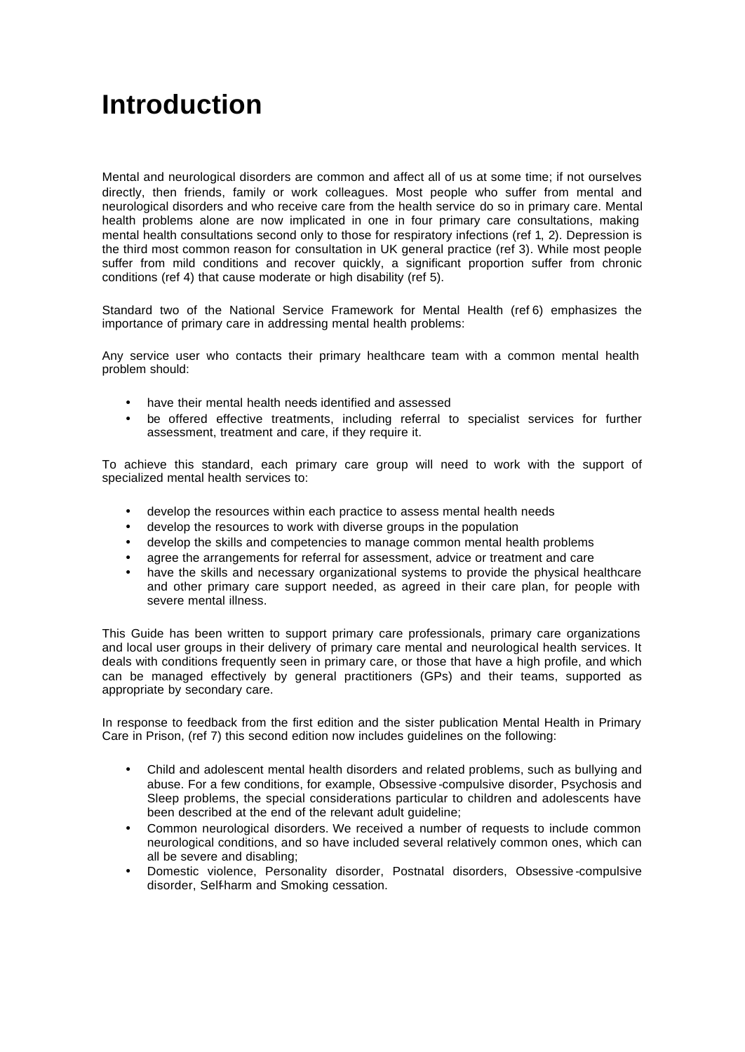# **Introduction**

Mental and neurological disorders are common and affect all of us at some time; if not ourselves directly, then friends, family or work colleagues. Most people who suffer from mental and neurological disorders and who receive care from the health service do so in primary care. Mental health problems alone are now implicated in one in four primary care consultations, making mental health consultations second only to those for respiratory infections (ref 1, 2). Depression is the third most common reason for consultation in UK general practice (ref 3). While most people suffer from mild conditions and recover quickly, a significant proportion suffer from chronic conditions (ref 4) that cause moderate or high disability (ref 5).

Standard two of the National Service Framework for Mental Health (ref 6) emphasizes the importance of primary care in addressing mental health problems:

Any service user who contacts their primary healthcare team with a common mental health problem should:

- have their mental health needs identified and assessed
- be offered effective treatments, including referral to specialist services for further assessment, treatment and care, if they require it.

To achieve this standard, each primary care group will need to work with the support of specialized mental health services to:

- develop the resources within each practice to assess mental health needs
- develop the resources to work with diverse groups in the population
- develop the skills and competencies to manage common mental health problems
- agree the arrangements for referral for assessment, advice or treatment and care
- have the skills and necessary organizational systems to provide the physical healthcare and other primary care support needed, as agreed in their care plan, for people with severe mental illness.

This Guide has been written to support primary care professionals, primary care organizations and local user groups in their delivery of primary care mental and neurological health services. It deals with conditions frequently seen in primary care, or those that have a high profile, and which can be managed effectively by general practitioners (GPs) and their teams, supported as appropriate by secondary care.

In response to feedback from the first edition and the sister publication Mental Health in Primary Care in Prison, (ref 7) this second edition now includes guidelines on the following:

- Child and adolescent mental health disorders and related problems, such as bullying and abuse. For a few conditions, for example, Obsessive -compulsive disorder, Psychosis and Sleep problems, the special considerations particular to children and adolescents have been described at the end of the relevant adult guideline;
- Common neurological disorders. We received a number of requests to include common neurological conditions, and so have included several relatively common ones, which can all be severe and disabling;
- Domestic violence, Personality disorder, Postnatal disorders, Obsessive -compulsive disorder, Self-harm and Smoking cessation.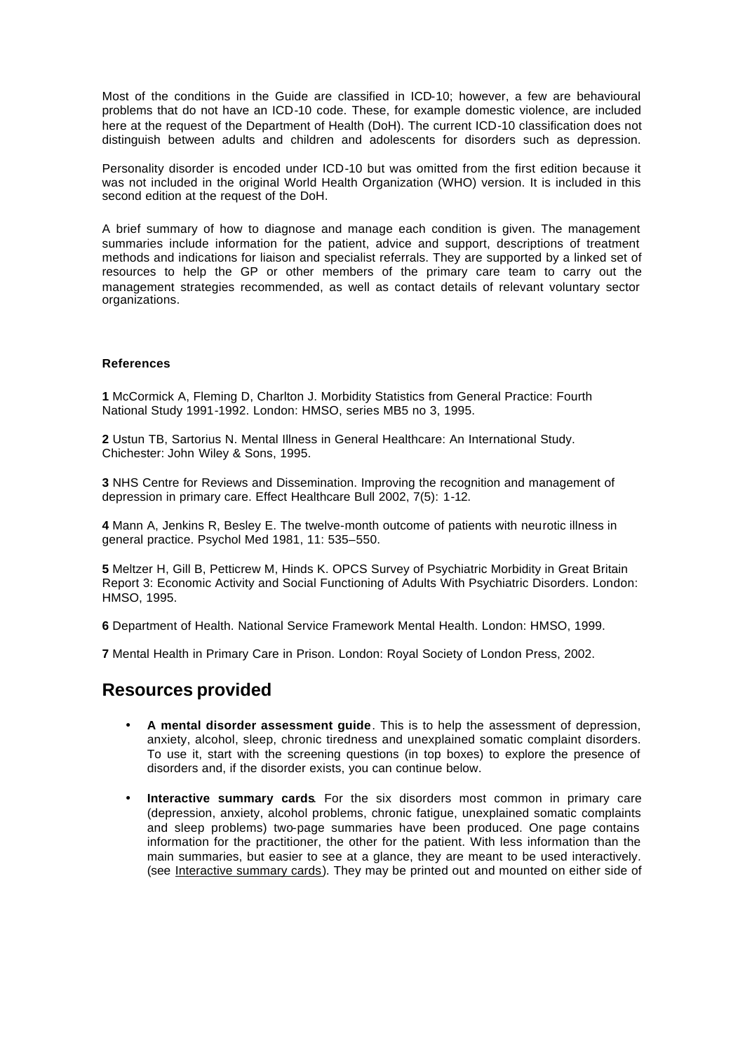Most of the conditions in the Guide are classified in ICD-10; however, a few are behavioural problems that do not have an ICD-10 code. These, for example domestic violence, are included here at the request of the Department of Health (DoH). The current ICD-10 classification does not distinguish between adults and children and adolescents for disorders such as depression.

Personality disorder is encoded under ICD-10 but was omitted from the first edition because it was not included in the original World Health Organization (WHO) version. It is included in this second edition at the request of the DoH.

A brief summary of how to diagnose and manage each condition is given. The management summaries include information for the patient, advice and support, descriptions of treatment methods and indications for liaison and specialist referrals. They are supported by a linked set of resources to help the GP or other members of the primary care team to carry out the management strategies recommended, as well as contact details of relevant voluntary sector organizations.

#### **References**

**1** McCormick A, Fleming D, Charlton J. Morbidity Statistics from General Practice: Fourth National Study 1991-1992. London: HMSO, series MB5 no 3, 1995.

**2** Ustun TB, Sartorius N. Mental Illness in General Healthcare: An International Study. Chichester: John Wiley & Sons, 1995.

**3** NHS Centre for Reviews and Dissemination. Improving the recognition and management of depression in primary care. Effect Healthcare Bull 2002, 7(5): 1-12.

**4** Mann A, Jenkins R, Besley E. The twelve-month outcome of patients with neurotic illness in general practice. Psychol Med 1981, 11: 535–550.

**5** Meltzer H, Gill B, Petticrew M, Hinds K. OPCS Survey of Psychiatric Morbidity in Great Britain Report 3: Economic Activity and Social Functioning of Adults With Psychiatric Disorders. London: HMSO, 1995.

**6** Department of Health. National Service Framework Mental Health. London: HMSO, 1999.

**7** Mental Health in Primary Care in Prison. London: Royal Society of London Press, 2002.

### **Resources provided**

- **A mental disorder assessment guide**. This is to help the assessment of depression, anxiety, alcohol, sleep, chronic tiredness and unexplained somatic complaint disorders. To use it, start with the screening questions (in top boxes) to explore the presence of disorders and, if the disorder exists, you can continue below.
- **Interactive summary cards**. For the six disorders most common in primary care (depression, anxiety, alcohol problems, chronic fatigue, unexplained somatic complaints and sleep problems) two-page summaries have been produced. One page contains information for the practitioner, the other for the patient. With less information than the main summaries, but easier to see at a glance, they are meant to be used interactively. (see Interactive summary cards). They may be printed out and mounted on either side of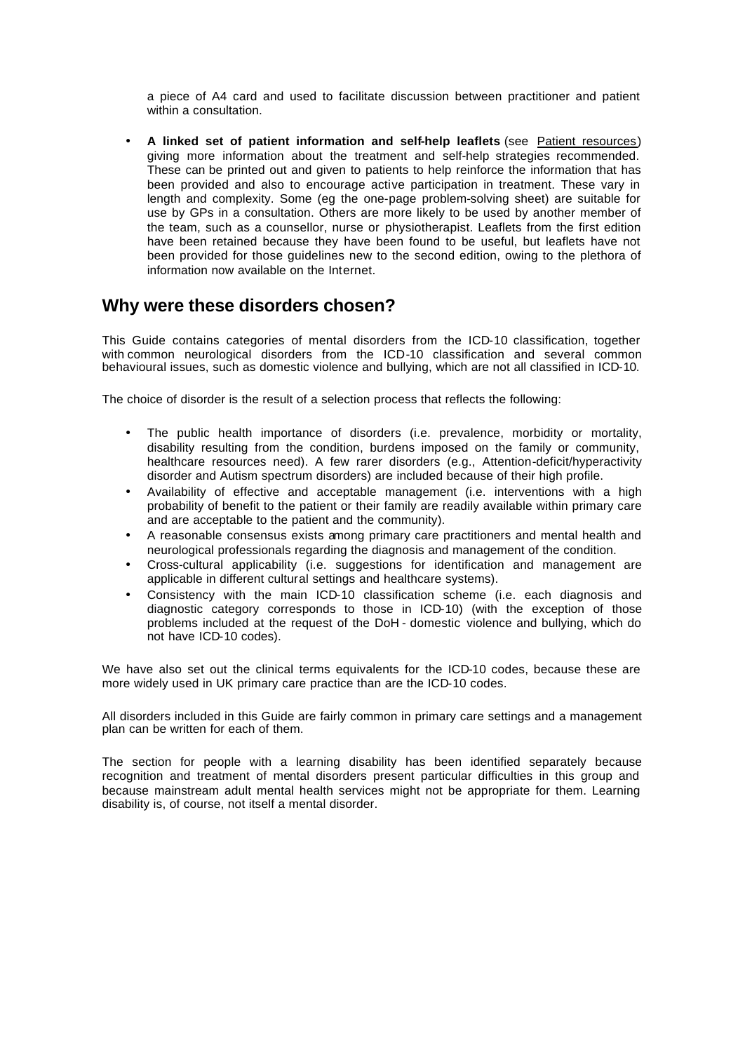a piece of A4 card and used to facilitate discussion between practitioner and patient within a consultation.

• **A linked set of patient information and self-help leaflets** (see Patient resources) giving more information about the treatment and self-help strategies recommended. These can be printed out and given to patients to help reinforce the information that has been provided and also to encourage active participation in treatment. These vary in length and complexity. Some (eg the one-page problem-solving sheet) are suitable for use by GPs in a consultation. Others are more likely to be used by another member of the team, such as a counsellor, nurse or physiotherapist. Leaflets from the first edition have been retained because they have been found to be useful, but leaflets have not been provided for those guidelines new to the second edition, owing to the plethora of information now available on the Internet.

## **Why were these disorders chosen?**

This Guide contains categories of mental disorders from the ICD-10 classification. together with common neurological disorders from the ICD-10 classification and several common behavioural issues, such as domestic violence and bullying, which are not all classified in ICD-10.

The choice of disorder is the result of a selection process that reflects the following:

- The public health importance of disorders (i.e. prevalence, morbidity or mortality, disability resulting from the condition, burdens imposed on the family or community, healthcare resources need). A few rarer disorders (e.g., Attention-deficit/hyperactivity disorder and Autism spectrum disorders) are included because of their high profile.
- Availability of effective and acceptable management (i.e. interventions with a high probability of benefit to the patient or their family are readily available within primary care and are acceptable to the patient and the community).
- A reasonable consensus exists among primary care practitioners and mental health and neurological professionals regarding the diagnosis and management of the condition.
- Cross-cultural applicability (i.e. suggestions for identification and management are applicable in different cultural settings and healthcare systems).
- Consistency with the main ICD-10 classification scheme (i.e. each diagnosis and diagnostic category corresponds to those in ICD-10) (with the exception of those problems included at the request of the DoH - domestic violence and bullying, which do not have ICD-10 codes).

We have also set out the clinical terms equivalents for the ICD-10 codes, because these are more widely used in UK primary care practice than are the ICD-10 codes.

All disorders included in this Guide are fairly common in primary care settings and a management plan can be written for each of them.

The section for people with a learning disability has been identified separately because recognition and treatment of mental disorders present particular difficulties in this group and because mainstream adult mental health services might not be appropriate for them. Learning disability is, of course, not itself a mental disorder.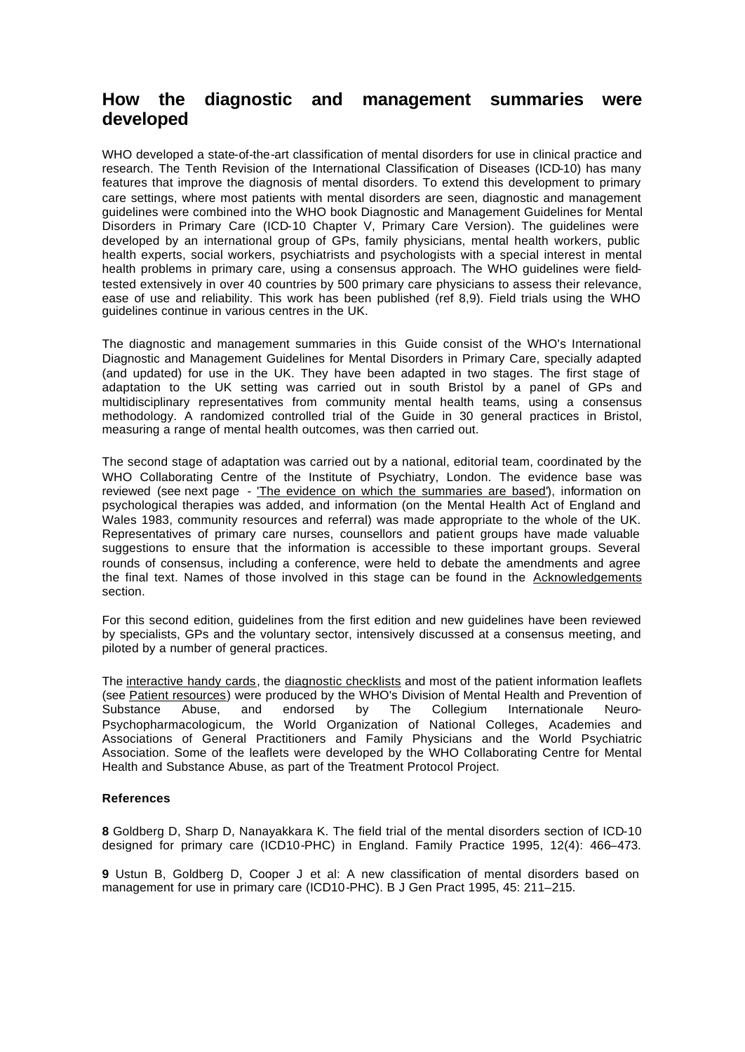### **How the diagnostic and management summaries were developed**

WHO developed a state-of-the-art classification of mental disorders for use in clinical practice and research. The Tenth Revision of the International Classification of Diseases (ICD-10) has many features that improve the diagnosis of mental disorders. To extend this development to primary care settings, where most patients with mental disorders are seen, diagnostic and management guidelines were combined into the WHO book Diagnostic and Management Guidelines for Mental Disorders in Primary Care (ICD-10 Chapter V, Primary Care Version). The guidelines were developed by an international group of GPs, family physicians, mental health workers, public health experts, social workers, psychiatrists and psychologists with a special interest in mental health problems in primary care, using a consensus approach. The WHO guidelines were fieldtested extensively in over 40 countries by 500 primary care physicians to assess their relevance, ease of use and reliability. This work has been published (ref 8,9). Field trials using the WHO guidelines continue in various centres in the UK.

The diagnostic and management summaries in this Guide consist of the WHO's International Diagnostic and Management Guidelines for Mental Disorders in Primary Care, specially adapted (and updated) for use in the UK. They have been adapted in two stages. The first stage of adaptation to the UK setting was carried out in south Bristol by a panel of GPs and multidisciplinary representatives from community mental health teams, using a consensus methodology. A randomized controlled trial of the Guide in 30 general practices in Bristol, measuring a range of mental health outcomes, was then carried out.

The second stage of adaptation was carried out by a national, editorial team, coordinated by the WHO Collaborating Centre of the Institute of Psychiatry, London. The evidence base was reviewed (see next page - 'The evidence on which the summaries are based'), information on psychological therapies was added, and information (on the Mental Health Act of England and Wales 1983, community resources and referral) was made appropriate to the whole of the UK. Representatives of primary care nurses, counsellors and patient groups have made valuable suggestions to ensure that the information is accessible to these important groups. Several rounds of consensus, including a conference, were held to debate the amendments and agree the final text. Names of those involved in this stage can be found in the Acknowledgements section.

For this second edition, guidelines from the first edition and new guidelines have been reviewed by specialists, GPs and the voluntary sector, intensively discussed at a consensus meeting, and piloted by a number of general practices.

The interactive handy cards, the diagnostic checklists and most of the patient information leaflets (see Patient resources) were produced by the WHO's Division of Mental Health and Prevention of Substance Abuse, and endorsed by The Collegium Internationale Neuro-Substance Abuse, and endorsed by The Collegium Internationale Neuro-Psychopharmacologicum, the World Organization of National Colleges, Academies and Associations of General Practitioners and Family Physicians and the World Psychiatric Association. Some of the leaflets were developed by the WHO Collaborating Centre for Mental Health and Substance Abuse, as part of the Treatment Protocol Project.

#### **References**

**8** Goldberg D, Sharp D, Nanayakkara K. The field trial of the mental disorders section of ICD-10 designed for primary care (ICD10-PHC) in England. Family Practice 1995, 12(4): 466–473.

**9** Ustun B, Goldberg D, Cooper J et al: A new classification of mental disorders based on management for use in primary care (ICD10-PHC). B J Gen Pract 1995, 45: 211–215.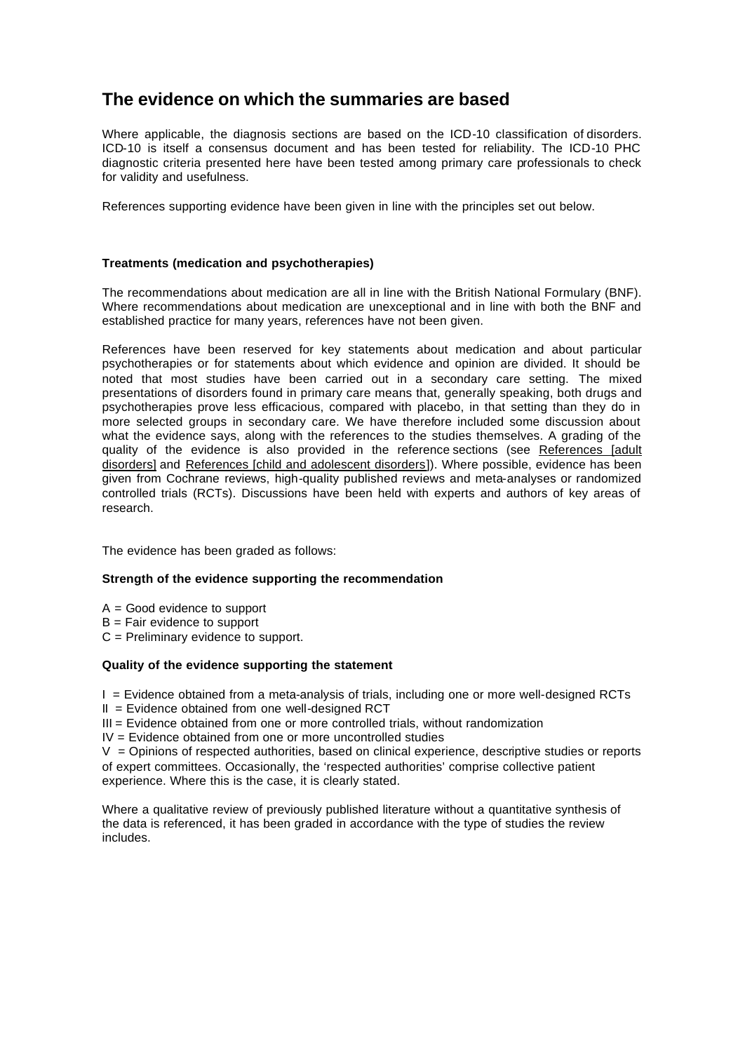# **The evidence on which the summaries are based**

Where applicable, the diagnosis sections are based on the ICD-10 classification of disorders. ICD-10 is itself a consensus document and has been tested for reliability. The ICD-10 PHC diagnostic criteria presented here have been tested among primary care professionals to check for validity and usefulness.

References supporting evidence have been given in line with the principles set out below.

#### **Treatments (medication and psychotherapies)**

The recommendations about medication are all in line with the British National Formulary (BNF). Where recommendations about medication are unexceptional and in line with both the BNF and established practice for many years, references have not been given.

References have been reserved for key statements about medication and about particular psychotherapies or for statements about which evidence and opinion are divided. It should be noted that most studies have been carried out in a secondary care setting. The mixed presentations of disorders found in primary care means that, generally speaking, both drugs and psychotherapies prove less efficacious, compared with placebo, in that setting than they do in more selected groups in secondary care. We have therefore included some discussion about what the evidence says, along with the references to the studies themselves. A grading of the quality of the evidence is also provided in the reference sections (see References [adult disorders] and References [child and adolescent disorders]). Where possible, evidence has been given from Cochrane reviews, high-quality published reviews and meta-analyses or randomized controlled trials (RCTs). Discussions have been held with experts and authors of key areas of research.

The evidence has been graded as follows:

#### **Strength of the evidence supporting the recommendation**

- A = Good evidence to support
- $B = Fair$  evidence to support
- C = Preliminary evidence to support.

#### **Quality of the evidence supporting the statement**

 $I =$  Evidence obtained from a meta-analysis of trials, including one or more well-designed RCTs

- $II =$  Evidence obtained from one well-designed RCT
- III = Evidence obtained from one or more controlled trials, without randomization

 $IV =$  Evidence obtained from one or more uncontrolled studies

 $V =$  Opinions of respected authorities, based on clinical experience, descriptive studies or reports of expert committees. Occasionally, the 'respected authorities' comprise collective patient experience. Where this is the case, it is clearly stated.

Where a qualitative review of previously published literature without a quantitative synthesis of the data is referenced, it has been graded in accordance with the type of studies the review includes.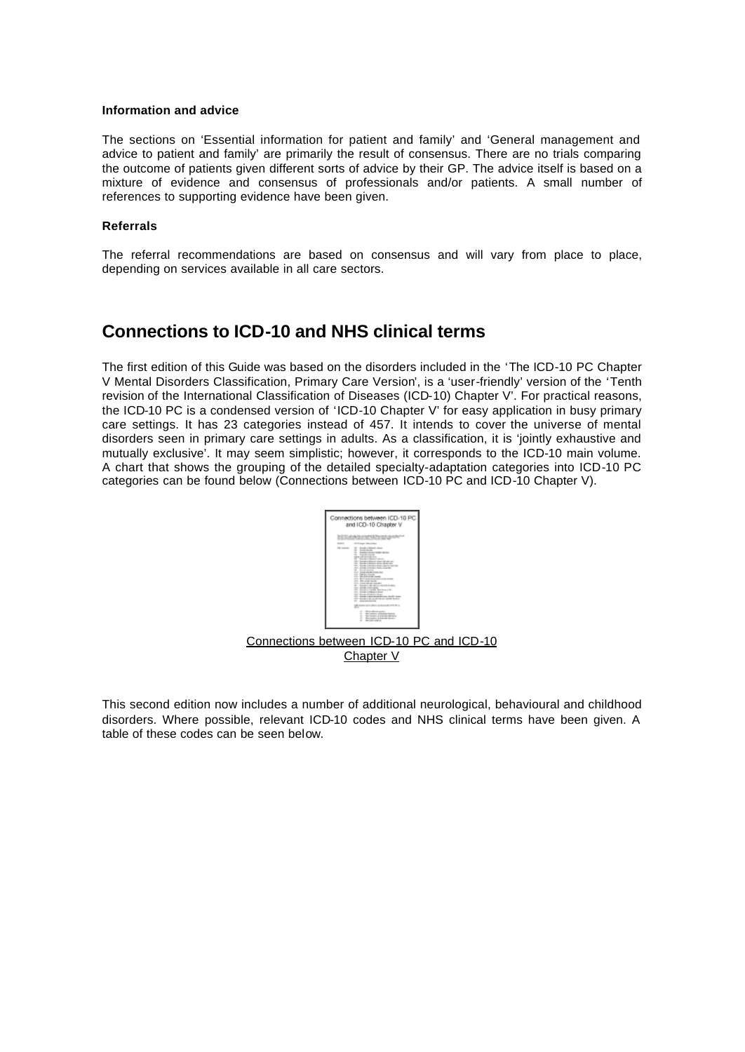#### **Information and advice**

The sections on 'Essential information for patient and family' and 'General management and advice to patient and family' are primarily the result of consensus. There are no trials comparing the outcome of patients given different sorts of advice by their GP. The advice itself is based on a mixture of evidence and consensus of professionals and/or patients. A small number of references to supporting evidence have been given.

#### **Referrals**

The referral recommendations are based on consensus and will vary from place to place, depending on services available in all care sectors.

### **Connections to ICD-10 and NHS clinical terms**

The first edition of this Guide was based on the disorders included in the 'The ICD-10 PC Chapter V Mental Disorders Classification, Primary Care Version', is a 'user-friendly' version of the 'Tenth revision of the International Classification of Diseases (ICD-10) Chapter V'. For practical reasons, the ICD-10 PC is a condensed version of 'ICD-10 Chapter V' for easy application in busy primary care settings. It has 23 categories instead of 457. It intends to cover the universe of mental disorders seen in primary care settings in adults. As a classification, it is 'jointly exhaustive and mutually exclusive'. It may seem simplistic; however, it corresponds to the ICD-10 main volume. A chart that shows the grouping of the detailed specialty-adaptation categories into ICD-10 PC categories can be found below (Connections between ICD-10 PC and ICD-10 Chapter V).



This second edition now includes a number of additional neurological, behavioural and childhood disorders. Where possible, relevant ICD-10 codes and NHS clinical terms have been given. A table of these codes can be seen below.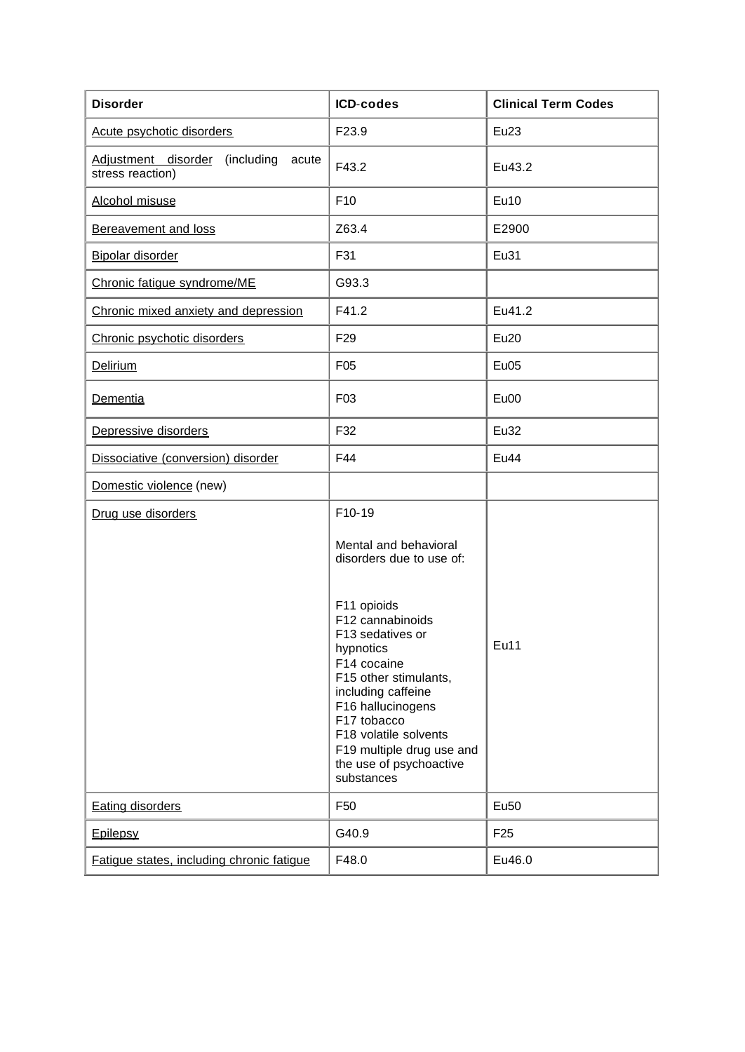| <b>Disorder</b>                                                | <b>ICD-codes</b>                                                                                                                                                                                                                                                                                                                 | <b>Clinical Term Codes</b> |
|----------------------------------------------------------------|----------------------------------------------------------------------------------------------------------------------------------------------------------------------------------------------------------------------------------------------------------------------------------------------------------------------------------|----------------------------|
| Acute psychotic disorders                                      | F23.9                                                                                                                                                                                                                                                                                                                            | Eu23                       |
| Adjustment disorder<br>(including<br>acute<br>stress reaction) | F43.2                                                                                                                                                                                                                                                                                                                            | Eu43.2                     |
| Alcohol misuse                                                 | F <sub>10</sub>                                                                                                                                                                                                                                                                                                                  | Eu10                       |
| Bereavement and loss                                           | Z63.4                                                                                                                                                                                                                                                                                                                            | E2900                      |
| <b>Bipolar disorder</b>                                        | F31                                                                                                                                                                                                                                                                                                                              | Eu31                       |
| Chronic fatique syndrome/ME                                    | G93.3                                                                                                                                                                                                                                                                                                                            |                            |
| Chronic mixed anxiety and depression                           | F41.2                                                                                                                                                                                                                                                                                                                            | Eu41.2                     |
| Chronic psychotic disorders                                    | F <sub>29</sub>                                                                                                                                                                                                                                                                                                                  | Eu20                       |
| Delirium                                                       | F <sub>05</sub>                                                                                                                                                                                                                                                                                                                  | Eu05                       |
| Dementia                                                       | F <sub>03</sub>                                                                                                                                                                                                                                                                                                                  | Eu00                       |
| Depressive disorders                                           | F32                                                                                                                                                                                                                                                                                                                              | Eu32                       |
| Dissociative (conversion) disorder                             | F44                                                                                                                                                                                                                                                                                                                              | Eu44                       |
| Domestic violence (new)                                        |                                                                                                                                                                                                                                                                                                                                  |                            |
| Drug use disorders                                             | F10-19<br>Mental and behavioral<br>disorders due to use of:<br>F11 opioids<br>F12 cannabinoids<br>F13 sedatives or<br>hypnotics<br>F14 cocaine<br>F15 other stimulants,<br>including caffeine<br>F16 hallucinogens<br>F17 tobacco<br>F18 volatile solvents<br>F19 multiple drug use and<br>the use of psychoactive<br>substances | Eu11                       |
| Eating disorders                                               | F50                                                                                                                                                                                                                                                                                                                              | Eu50                       |
| Epilepsy                                                       | G40.9                                                                                                                                                                                                                                                                                                                            | F <sub>25</sub>            |
| Fatique states, including chronic fatique                      | F48.0                                                                                                                                                                                                                                                                                                                            | Eu46.0                     |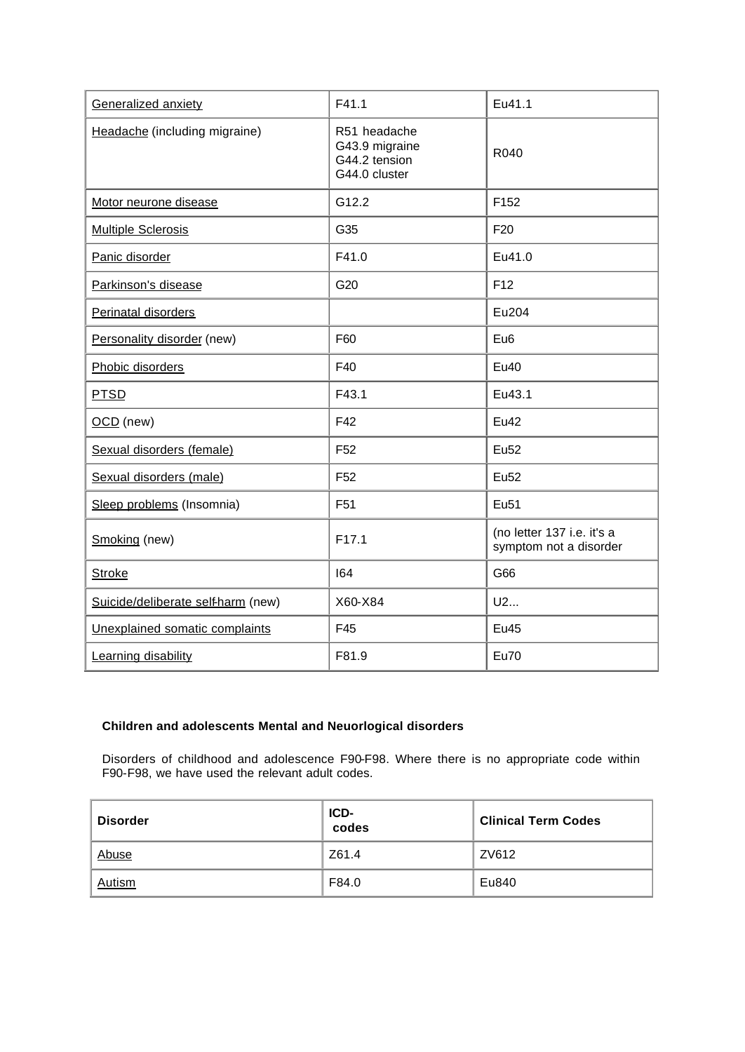| Generalized anxiety                | F41.1                                                            | Eu41.1                                               |
|------------------------------------|------------------------------------------------------------------|------------------------------------------------------|
| Headache (including migraine)      | R51 headache<br>G43.9 migraine<br>G44.2 tension<br>G44.0 cluster | R040                                                 |
| Motor neurone disease              | G12.2                                                            | F152                                                 |
| <b>Multiple Sclerosis</b>          | G35                                                              | F <sub>20</sub>                                      |
| Panic disorder                     | F41.0                                                            | Eu41.0                                               |
| Parkinson's disease                | G20                                                              | F <sub>12</sub>                                      |
| Perinatal disorders                |                                                                  | Eu204                                                |
| Personality disorder (new)         | F60                                                              | Eu <sub>6</sub>                                      |
| Phobic disorders                   | F40                                                              | Eu40                                                 |
| <b>PTSD</b>                        | F43.1                                                            | Eu43.1                                               |
| OCD (new)                          | F42                                                              | Eu42                                                 |
| Sexual disorders (female)          | F <sub>52</sub>                                                  | Eu52                                                 |
| Sexual disorders (male)            | F <sub>52</sub>                                                  | Eu52                                                 |
| Sleep problems (Insomnia)          | F <sub>51</sub>                                                  | Eu51                                                 |
| Smoking (new)                      | F <sub>17.1</sub>                                                | (no letter 137 i.e. it's a<br>symptom not a disorder |
| <b>Stroke</b>                      | 164                                                              | G66                                                  |
| Suicide/deliberate self-harm (new) | X60-X84                                                          | U2                                                   |
| Unexplained somatic complaints     | F45                                                              | Eu45                                                 |
| Learning disability                | F81.9                                                            | <b>Eu70</b>                                          |

#### **Children and adolescents Mental and Neuorlogical disorders**

Disorders of childhood and adolescence F90-F98. Where there is no appropriate code within F90-F98, we have used the relevant adult codes.

| Disorder      | ICD-<br>codes | <b>Clinical Term Codes</b> |
|---------------|---------------|----------------------------|
| Abuse         | Z61.4         | ZV612                      |
| <b>Autism</b> | F84.0         | Eu840                      |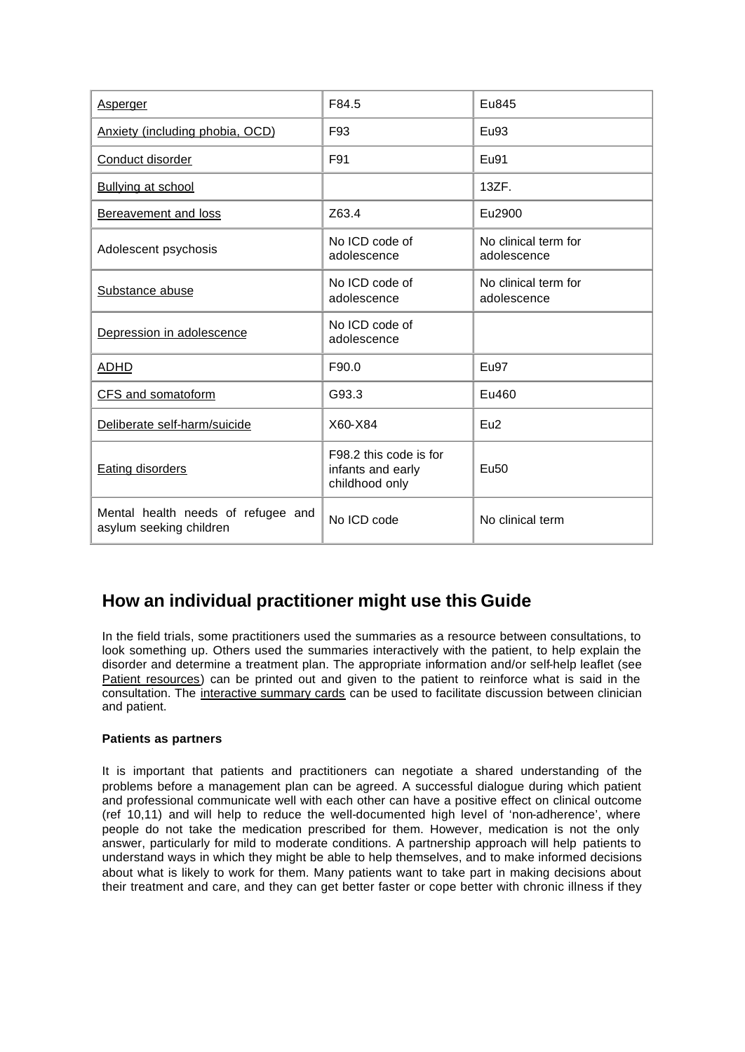| <u>Asperger</u>                                               | F84.5                                                         | Eu845                               |
|---------------------------------------------------------------|---------------------------------------------------------------|-------------------------------------|
| Anxiety (including phobia, OCD)                               | F93                                                           | Eu93                                |
| Conduct disorder                                              | F91                                                           | Eu91                                |
| <b>Bullying at school</b>                                     |                                                               | 13ZF.                               |
| <b>Bereavement and loss</b>                                   | Z63.4                                                         | Eu2900                              |
| Adolescent psychosis                                          | No ICD code of<br>adolescence                                 | No clinical term for<br>adolescence |
| Substance abuse                                               | No ICD code of<br>adolescence                                 | No clinical term for<br>adolescence |
| Depression in adolescence                                     | No ICD code of<br>adolescence                                 |                                     |
| <b>ADHD</b>                                                   | F90.0                                                         | Eu97                                |
| CFS and somatoform                                            | G93.3                                                         | Eu460                               |
| Deliberate self-harm/suicide                                  | X60-X84                                                       | Eu <sub>2</sub>                     |
| Eating disorders                                              | F98.2 this code is for<br>infants and early<br>childhood only | Eu50                                |
| Mental health needs of refugee and<br>asylum seeking children | No ICD code                                                   | No clinical term                    |

# **How an individual practitioner might use this Guide**

In the field trials, some practitioners used the summaries as a resource between consultations, to look something up. Others used the summaries interactively with the patient, to help explain the disorder and determine a treatment plan. The appropriate information and/or self-help leaflet (see Patient resources) can be printed out and given to the patient to reinforce what is said in the consultation. The interactive summary cards can be used to facilitate discussion between clinician and patient.

#### **Patients as partners**

It is important that patients and practitioners can negotiate a shared understanding of the problems before a management plan can be agreed. A successful dialogue during which patient and professional communicate well with each other can have a positive effect on clinical outcome (ref 10,11) and will help to reduce the well-documented high level of 'non-adherence', where people do not take the medication prescribed for them. However, medication is not the only answer, particularly for mild to moderate conditions. A partnership approach will help patients to understand ways in which they might be able to help themselves, and to make informed decisions about what is likely to work for them. Many patients want to take part in making decisions about their treatment and care, and they can get better faster or cope better with chronic illness if they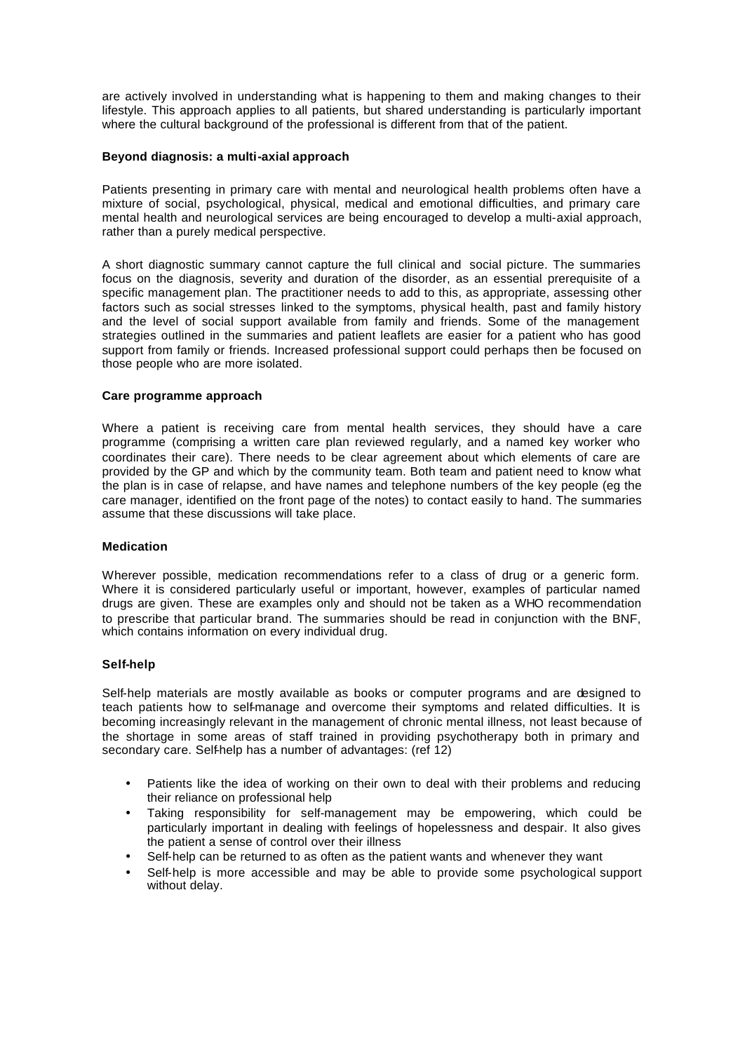are actively involved in understanding what is happening to them and making changes to their lifestyle. This approach applies to all patients, but shared understanding is particularly important where the cultural background of the professional is different from that of the patient.

#### **Beyond diagnosis: a multi-axial approach**

Patients presenting in primary care with mental and neurological health problems often have a mixture of social, psychological, physical, medical and emotional difficulties, and primary care mental health and neurological services are being encouraged to develop a multi-axial approach, rather than a purely medical perspective.

A short diagnostic summary cannot capture the full clinical and social picture. The summaries focus on the diagnosis, severity and duration of the disorder, as an essential prerequisite of a specific management plan. The practitioner needs to add to this, as appropriate, assessing other factors such as social stresses linked to the symptoms, physical health, past and family history and the level of social support available from family and friends. Some of the management strategies outlined in the summaries and patient leaflets are easier for a patient who has good support from family or friends. Increased professional support could perhaps then be focused on those people who are more isolated.

#### **Care programme approach**

Where a patient is receiving care from mental health services, they should have a care programme (comprising a written care plan reviewed regularly, and a named key worker who coordinates their care). There needs to be clear agreement about which elements of care are provided by the GP and which by the community team. Both team and patient need to know what the plan is in case of relapse, and have names and telephone numbers of the key people (eg the care manager, identified on the front page of the notes) to contact easily to hand. The summaries assume that these discussions will take place.

#### **Medication**

Wherever possible, medication recommendations refer to a class of drug or a generic form. Where it is considered particularly useful or important, however, examples of particular named drugs are given. These are examples only and should not be taken as a WHO recommendation to prescribe that particular brand. The summaries should be read in conjunction with the BNF, which contains information on every individual drug.

#### **Self-help**

Self-help materials are mostly available as books or computer programs and are designed to teach patients how to self-manage and overcome their symptoms and related difficulties. It is becoming increasingly relevant in the management of chronic mental illness, not least because of the shortage in some areas of staff trained in providing psychotherapy both in primary and secondary care. Self-help has a number of advantages: (ref 12)

- Patients like the idea of working on their own to deal with their problems and reducing their reliance on professional help
- Taking responsibility for self-management may be empowering, which could be particularly important in dealing with feelings of hopelessness and despair. It also gives the patient a sense of control over their illness
- Self-help can be returned to as often as the patient wants and whenever they want
- Self-help is more accessible and may be able to provide some psychological support without delay.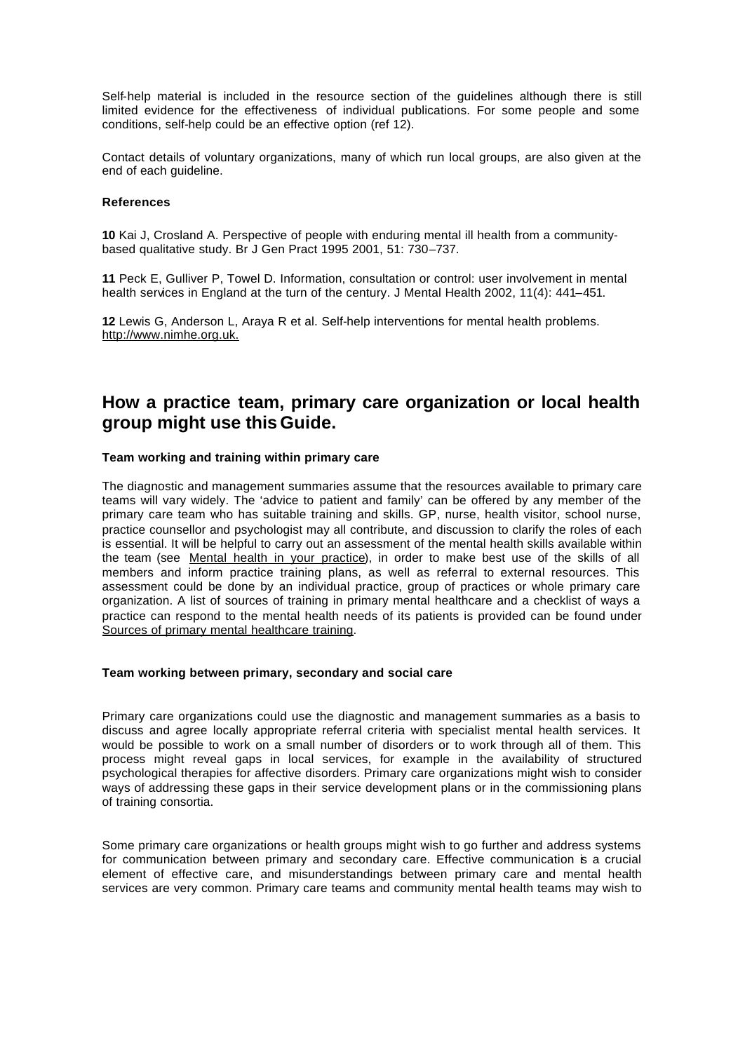Self-help material is included in the resource section of the guidelines although there is still limited evidence for the effectiveness of individual publications. For some people and some conditions, self-help could be an effective option (ref 12).

Contact details of voluntary organizations, many of which run local groups, are also given at the end of each guideline.

#### **References**

**10** Kai J, Crosland A. Perspective of people with enduring mental ill health from a communitybased qualitative study. Br J Gen Pract 1995 2001, 51: 730–737.

**11** Peck E, Gulliver P, Towel D. Information, consultation or control: user involvement in mental health services in England at the turn of the century. J Mental Health 2002, 11(4): 441–451.

**12** Lewis G, Anderson L, Araya R et al. Self-help interventions for mental health problems. http://www.nimhe.org.uk.

### **How a practice team, primary care organization or local health group might use this Guide.**

#### **Team working and training within primary care**

The diagnostic and management summaries assume that the resources available to primary care teams will vary widely. The 'advice to patient and family' can be offered by any member of the primary care team who has suitable training and skills. GP, nurse, health visitor, school nurse, practice counsellor and psychologist may all contribute, and discussion to clarify the roles of each is essential. It will be helpful to carry out an assessment of the mental health skills available within the team (see Mental health in your practice), in order to make best use of the skills of all members and inform practice training plans, as well as referral to external resources. This assessment could be done by an individual practice, group of practices or whole primary care organization. A list of sources of training in primary mental healthcare and a checklist of ways a practice can respond to the mental health needs of its patients is provided can be found under Sources of primary mental healthcare training.

#### **Team working between primary, secondary and social care**

Primary care organizations could use the diagnostic and management summaries as a basis to discuss and agree locally appropriate referral criteria with specialist mental health services. It would be possible to work on a small number of disorders or to work through all of them. This process might reveal gaps in local services, for example in the availability of structured psychological therapies for affective disorders. Primary care organizations might wish to consider ways of addressing these gaps in their service development plans or in the commissioning plans of training consortia.

Some primary care organizations or health groups might wish to go further and address systems for communication between primary and secondary care. Effective communication is a crucial element of effective care, and misunderstandings between primary care and mental health services are very common. Primary care teams and community mental health teams may wish to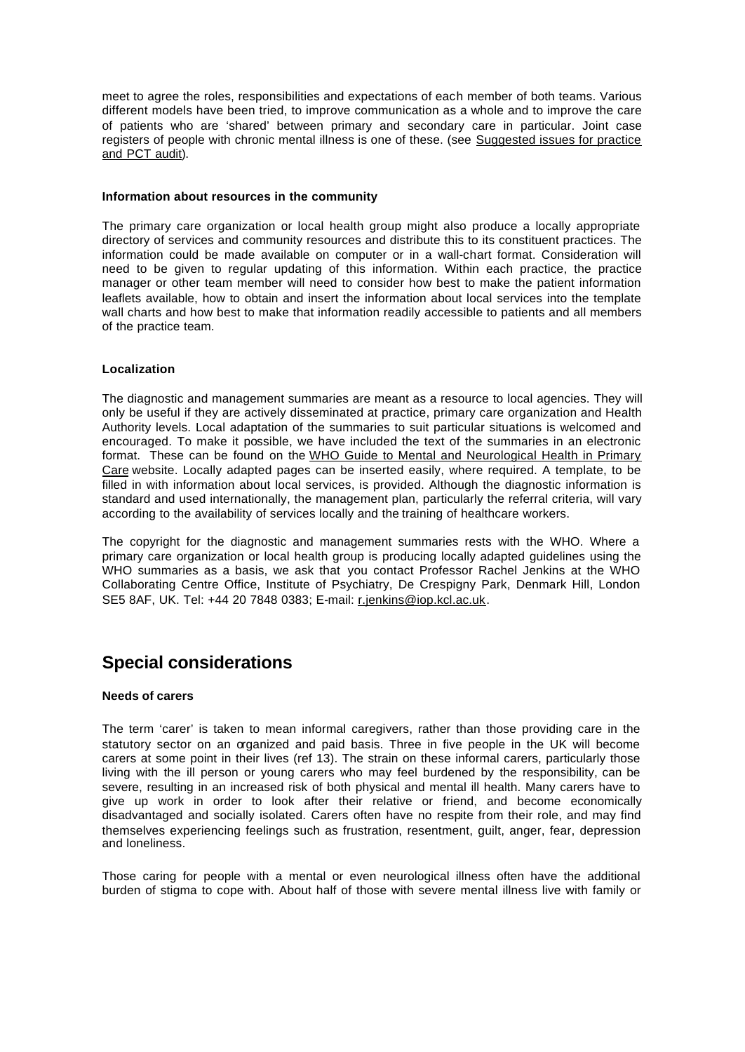meet to agree the roles, responsibilities and expectations of each member of both teams. Various different models have been tried, to improve communication as a whole and to improve the care of patients who are 'shared' between primary and secondary care in particular. Joint case registers of people with chronic mental illness is one of these. (see Suggested issues for practice and PCT audit).

#### **Information about resources in the community**

The primary care organization or local health group might also produce a locally appropriate directory of services and community resources and distribute this to its constituent practices. The information could be made available on computer or in a wall-chart format. Consideration will need to be given to regular updating of this information. Within each practice, the practice manager or other team member will need to consider how best to make the patient information leaflets available, how to obtain and insert the information about local services into the template wall charts and how best to make that information readily accessible to patients and all members of the practice team.

#### **Localization**

The diagnostic and management summaries are meant as a resource to local agencies. They will only be useful if they are actively disseminated at practice, primary care organization and Health Authority levels. Local adaptation of the summaries to suit particular situations is welcomed and encouraged. To make it possible, we have included the text of the summaries in an electronic format. These can be found on the WHO Guide to Mental and Neurological Health in Primary Care website. Locally adapted pages can be inserted easily, where required. A template, to be filled in with information about local services, is provided. Although the diagnostic information is standard and used internationally, the management plan, particularly the referral criteria, will vary according to the availability of services locally and the training of healthcare workers.

The copyright for the diagnostic and management summaries rests with the WHO. Where a primary care organization or local health group is producing locally adapted guidelines using the WHO summaries as a basis, we ask that you contact Professor Rachel Jenkins at the WHO Collaborating Centre Office, Institute of Psychiatry, De Crespigny Park, Denmark Hill, London SE5 8AF, UK. Tel: +44 20 7848 0383; E-mail: r.jenkins@iop.kcl.ac.uk.

### **Special considerations**

#### **Needs of carers**

The term 'carer' is taken to mean informal caregivers, rather than those providing care in the statutory sector on an organized and paid basis. Three in five people in the UK will become carers at some point in their lives (ref 13). The strain on these informal carers, particularly those living with the ill person or young carers who may feel burdened by the responsibility, can be severe, resulting in an increased risk of both physical and mental ill health. Many carers have to give up work in order to look after their relative or friend, and become economically disadvantaged and socially isolated. Carers often have no respite from their role, and may find themselves experiencing feelings such as frustration, resentment, guilt, anger, fear, depression and loneliness.

Those caring for people with a mental or even neurological illness often have the additional burden of stigma to cope with. About half of those with severe mental illness live with family or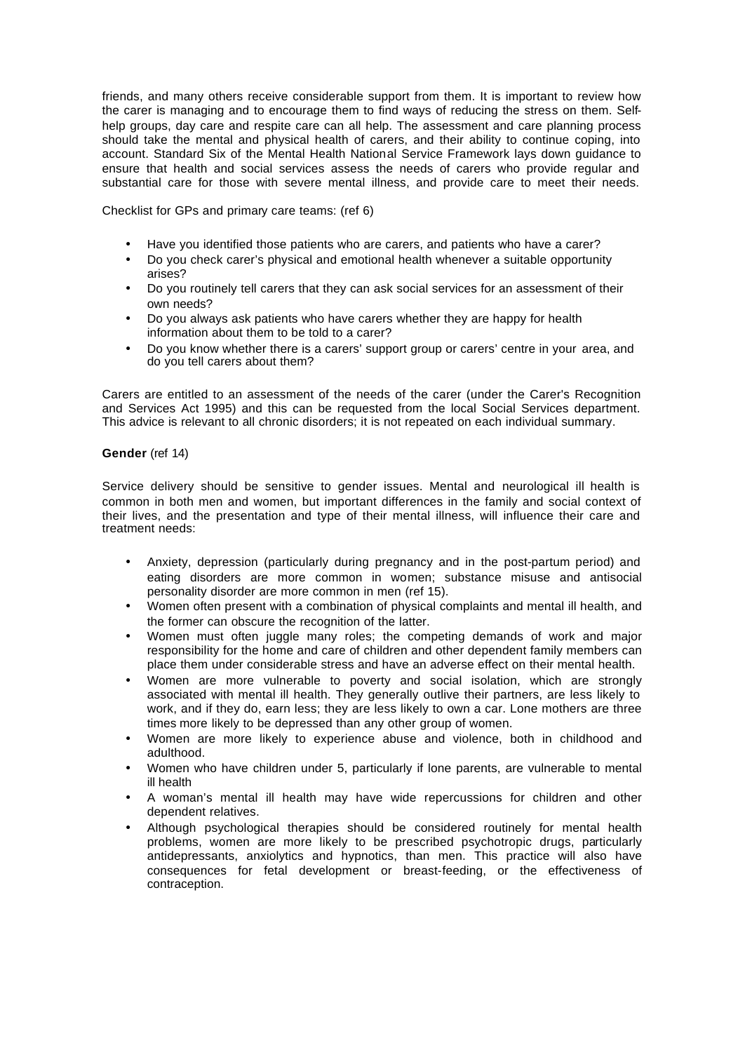friends, and many others receive considerable support from them. It is important to review how the carer is managing and to encourage them to find ways of reducing the stress on them. Selfhelp groups, day care and respite care can all help. The assessment and care planning process should take the mental and physical health of carers, and their ability to continue coping, into account. Standard Six of the Mental Health National Service Framework lays down guidance to ensure that health and social services assess the needs of carers who provide regular and substantial care for those with severe mental illness, and provide care to meet their needs.

Checklist for GPs and primary care teams: (ref 6)

- Have you identified those patients who are carers, and patients who have a carer?
- Do you check carer's physical and emotional health whenever a suitable opportunity arises?
- Do you routinely tell carers that they can ask social services for an assessment of their own needs?
- Do you always ask patients who have carers whether they are happy for health information about them to be told to a carer?
- Do you know whether there is a carers' support group or carers' centre in your area, and do you tell carers about them?

Carers are entitled to an assessment of the needs of the carer (under the Carer's Recognition and Services Act 1995) and this can be requested from the local Social Services department. This advice is relevant to all chronic disorders; it is not repeated on each individual summary.

#### **Gender** (ref 14)

Service delivery should be sensitive to gender issues. Mental and neurological ill health is common in both men and women, but important differences in the family and social context of their lives, and the presentation and type of their mental illness, will influence their care and treatment needs:

- Anxiety, depression (particularly during pregnancy and in the post-partum period) and eating disorders are more common in women; substance misuse and antisocial personality disorder are more common in men (ref 15).
- Women often present with a combination of physical complaints and mental ill health, and the former can obscure the recognition of the latter.
- Women must often juggle many roles; the competing demands of work and major responsibility for the home and care of children and other dependent family members can place them under considerable stress and have an adverse effect on their mental health.
- Women are more vulnerable to poverty and social isolation, which are strongly associated with mental ill health. They generally outlive their partners, are less likely to work, and if they do, earn less; they are less likely to own a car. Lone mothers are three times more likely to be depressed than any other group of women.
- Women are more likely to experience abuse and violence, both in childhood and adulthood.
- Women who have children under 5, particularly if lone parents, are vulnerable to mental ill health
- A woman's mental ill health may have wide repercussions for children and other dependent relatives.
- Although psychological therapies should be considered routinely for mental health problems, women are more likely to be prescribed psychotropic drugs, particularly antidepressants, anxiolytics and hypnotics, than men. This practice will also have consequences for fetal development or breast-feeding, or the effectiveness of contraception.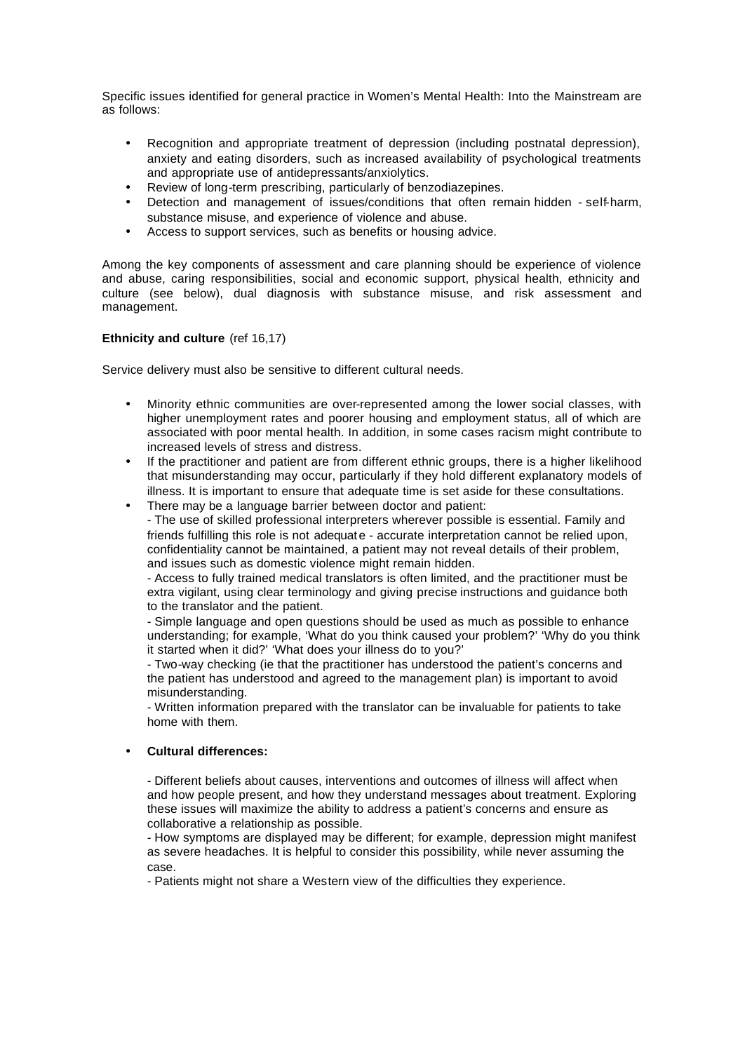Specific issues identified for general practice in Women's Mental Health: Into the Mainstream are as follows:

- Recognition and appropriate treatment of depression (including postnatal depression), anxiety and eating disorders, such as increased availability of psychological treatments and appropriate use of antidepressants/anxiolytics.
- Review of long-term prescribing, particularly of benzodiazepines.
- Detection and management of issues/conditions that often remain hidden self-harm, substance misuse, and experience of violence and abuse.
- Access to support services, such as benefits or housing advice.

Among the key components of assessment and care planning should be experience of violence and abuse, caring responsibilities, social and economic support, physical health, ethnicity and culture (see below), dual diagnosis with substance misuse, and risk assessment and management.

#### **Ethnicity and culture** (ref 16,17)

Service delivery must also be sensitive to different cultural needs.

- Minority ethnic communities are over-represented among the lower social classes, with higher unemployment rates and poorer housing and employment status, all of which are associated with poor mental health. In addition, in some cases racism might contribute to increased levels of stress and distress.
- If the practitioner and patient are from different ethnic groups, there is a higher likelihood that misunderstanding may occur, particularly if they hold different explanatory models of illness. It is important to ensure that adequate time is set aside for these consultations. There may be a language barrier between doctor and patient:
	- The use of skilled professional interpreters wherever possible is essential. Family and friends fulfilling this role is not adequate - accurate interpretation cannot be relied upon, confidentiality cannot be maintained, a patient may not reveal details of their problem, and issues such as domestic violence might remain hidden.

- Access to fully trained medical translators is often limited, and the practitioner must be extra vigilant, using clear terminology and giving precise instructions and guidance both to the translator and the patient.

- Simple language and open questions should be used as much as possible to enhance understanding; for example, 'What do you think caused your problem?' 'Why do you think it started when it did?' 'What does your illness do to you?'

- Two-way checking (ie that the practitioner has understood the patient's concerns and the patient has understood and agreed to the management plan) is important to avoid misunderstanding.

- Written information prepared with the translator can be invaluable for patients to take home with them.

#### • **Cultural differences:**

- Different beliefs about causes, interventions and outcomes of illness will affect when and how people present, and how they understand messages about treatment. Exploring these issues will maximize the ability to address a patient's concerns and ensure as collaborative a relationship as possible.

- How symptoms are displayed may be different; for example, depression might manifest as severe headaches. It is helpful to consider this possibility, while never assuming the case.

- Patients might not share a Western view of the difficulties they experience.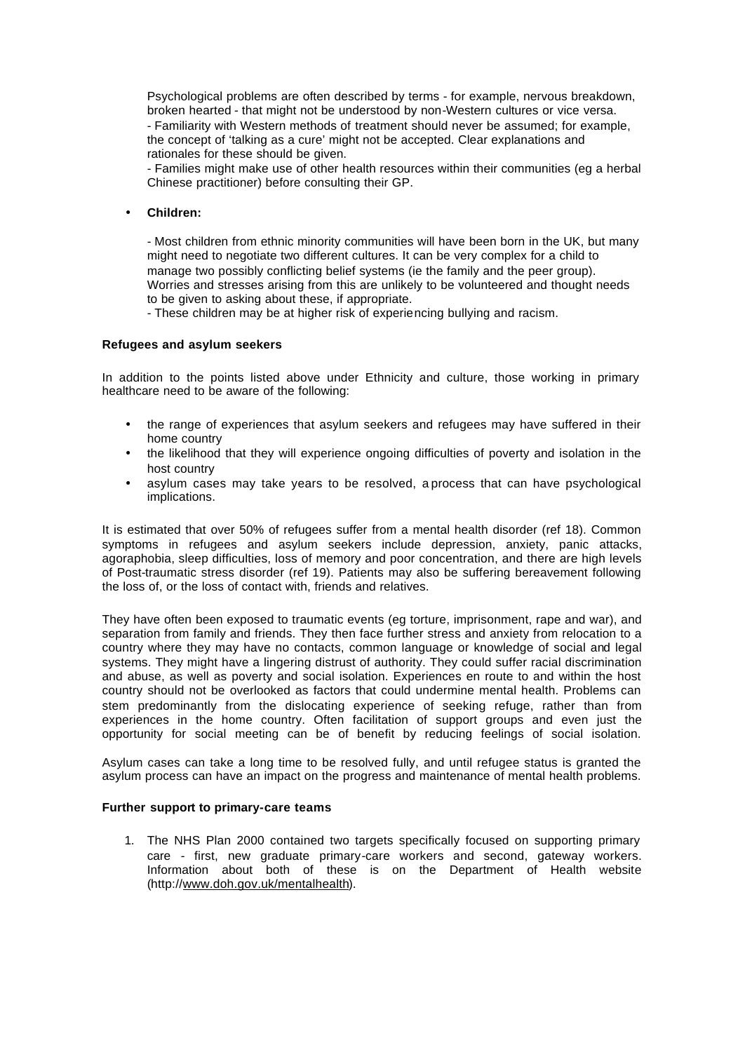Psychological problems are often described by terms - for example, nervous breakdown, broken hearted - that might not be understood by non-Western cultures or vice versa. - Familiarity with Western methods of treatment should never be assumed; for example, the concept of 'talking as a cure' might not be accepted. Clear explanations and rationales for these should be given.

- Families might make use of other health resources within their communities (eg a herbal Chinese practitioner) before consulting their GP.

#### • **Children:**

- Most children from ethnic minority communities will have been born in the UK, but many might need to negotiate two different cultures. It can be very complex for a child to manage two possibly conflicting belief systems (ie the family and the peer group). Worries and stresses arising from this are unlikely to be volunteered and thought needs to be given to asking about these, if appropriate.

- These children may be at higher risk of experiencing bullying and racism.

#### **Refugees and asylum seekers**

In addition to the points listed above under Ethnicity and culture, those working in primary healthcare need to be aware of the following:

- the range of experiences that asylum seekers and refugees may have suffered in their home country
- the likelihood that they will experience ongoing difficulties of poverty and isolation in the host country
- asylum cases may take years to be resolved, a process that can have psychological implications.

It is estimated that over 50% of refugees suffer from a mental health disorder (ref 18). Common symptoms in refugees and asylum seekers include depression, anxiety, panic attacks, agoraphobia, sleep difficulties, loss of memory and poor concentration, and there are high levels of Post-traumatic stress disorder (ref 19). Patients may also be suffering bereavement following the loss of, or the loss of contact with, friends and relatives.

They have often been exposed to traumatic events (eg torture, imprisonment, rape and war), and separation from family and friends. They then face further stress and anxiety from relocation to a country where they may have no contacts, common language or knowledge of social and legal systems. They might have a lingering distrust of authority. They could suffer racial discrimination and abuse, as well as poverty and social isolation. Experiences en route to and within the host country should not be overlooked as factors that could undermine mental health. Problems can stem predominantly from the dislocating experience of seeking refuge, rather than from experiences in the home country. Often facilitation of support groups and even just the opportunity for social meeting can be of benefit by reducing feelings of social isolation.

Asylum cases can take a long time to be resolved fully, and until refugee status is granted the asylum process can have an impact on the progress and maintenance of mental health problems.

#### **Further support to primary-care teams**

1. The NHS Plan 2000 contained two targets specifically focused on supporting primary care - first, new graduate primary-care workers and second, gateway workers. Information about both of these is on the Department of Health website (http://www.doh.gov.uk/mentalhealth).